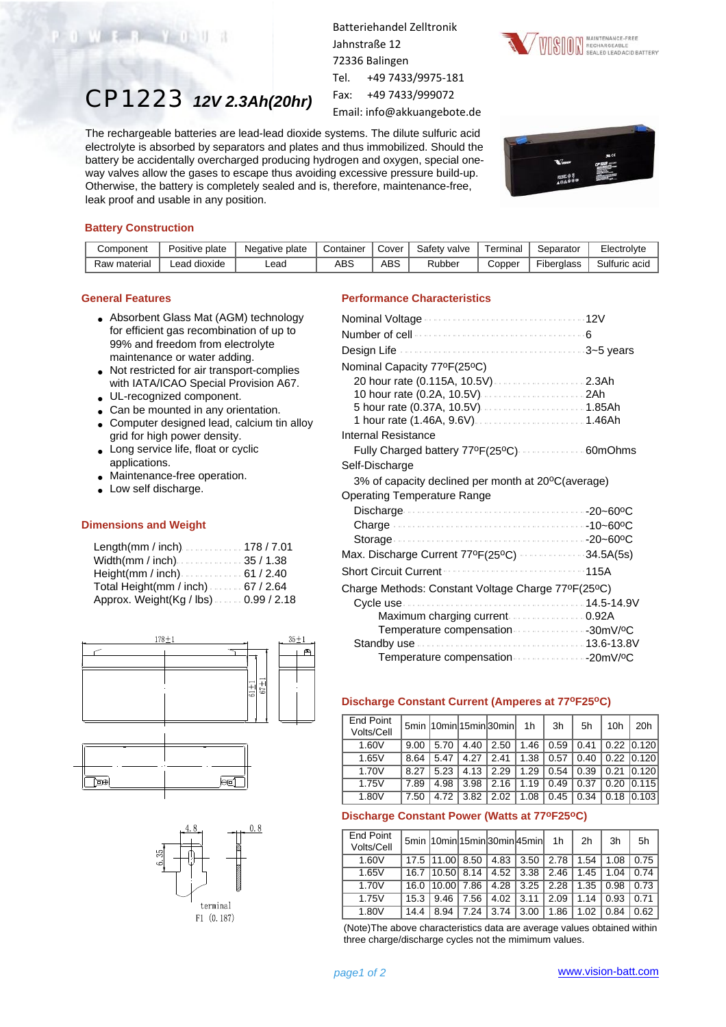# CP1223 *12V 2.3Ah(20hr)*

Batteriehandel Zelltronik Jahnstraße 12 72336 Balingen Tel. +49 7433/9975-181

Fax: +49 7433/999072

Email: info@akkuangebote.de

The rechargeable batteries are lead-lead dioxide systems. The dilute sulfuric acid electrolyte is absorbed by separators and plates and thus immobilized. Should the battery be accidentally overcharged producing hydrogen and oxygen, special oneway valves allow the gases to escape thus avoiding excessive pressure build-up. Otherwise, the battery is completely sealed and is, therefore, maintenance-free, leak proof and usable in any position.





### **Battery Construction**

WEB YOU

| Component    | Positive plate  | Negative plate | Container | Cover | Safetv<br>v valve | Terminal | Separator         | Electrolvte   |
|--------------|-----------------|----------------|-----------|-------|-------------------|----------|-------------------|---------------|
| Raw material | dioxide<br>_ead | Lead           | ABS       | ABS   | Rubber            | Copper   | <b>Fiberalass</b> | Sulfuric acid |

## **General Features**

- Absorbent Glass Mat (AGM) technology for efficient gas recombination of up to 99% and freedom from electrolyte maintenance or water adding.
- Not restricted for air transport-complies with IATA/ICAO Special Provision A67.
- UL-recognized component.
- Can be mounted in any orientation.
- Computer designed lead, calcium tin alloy grid for high power density.
- Long service life, float or cyclic applications.
- Maintenance-free operation.
- Low self discharge.

#### **Dimensions and Weight**

| Length(mm / inch)178 / 7.01                             |
|---------------------------------------------------------|
| Width(mm / inch) $\ldots$ 35 / 1.38                     |
| Height(mm / inch) $\ldots \ldots \ldots \ldots 61/2.40$ |
| Total Height(mm / inch) 67 / 2.64                       |
| Approx. Weight(Kg / lbs). 0.99 / 2.18                   |







## **Performance Characteristics**

| Nominal Capacity 77ºF(25°C)                        |      |
|----------------------------------------------------|------|
| 20 hour rate (0.115A, 10.5V)  2.3Ah                |      |
|                                                    |      |
|                                                    |      |
|                                                    |      |
| Internal Resistance                                |      |
| Fully Charged battery 77ºF(25ºC)  60mOhms          |      |
| Self-Discharge                                     |      |
| 3% of capacity declined per month at 20°C(average) |      |
| Operating Temperature Range                        |      |
|                                                    |      |
|                                                    |      |
|                                                    |      |
| Max. Discharge Current 77ºF(25ºC) 34.5A(5s)        |      |
| <b>Short Circuit Current</b>                       | 115A |
| Charge Methods: Constant Voltage Charge 77ºF(25ºC) |      |
|                                                    |      |
| Maximum charging current  0.92A                    |      |
| Temperature compensation 30mV/ºC                   |      |
|                                                    |      |
|                                                    |      |

## **Discharge Constant Current (Amperes at 77oF25oC)**

| End Point<br>Volts/Cell |      |      |      | 5min 10min 15min 30min | 1h   | 3h   | 5h   | 10h  | 20h              |
|-------------------------|------|------|------|------------------------|------|------|------|------|------------------|
| 1.60V                   | 9.00 | 5.70 | 4.40 | 2.50                   | 1.46 | 0.59 | 0.41 |      | $0.22$ $ 0.120 $ |
| 1.65V                   | 8.64 | 5.47 | 4.27 | 2.41                   | 1.38 | 0.57 | 0.40 |      | $0.22$ $ 0.120 $ |
| 1.70V                   | 8.27 | 5.23 | 4.13 | 2.29                   | 1.29 | 0.54 | 0.39 |      | $0.21$ $0.120$   |
| 1.75V                   | 7.89 | 4.98 | 3.98 | 2.16                   | 1.19 | 0.49 | 0.37 | 0.20 | 0.115            |
| 1.80V                   | 7.50 | 4.72 | 3.82 | 2.02                   | 1.08 | 0.45 | 0.34 | 0.18 | 0.103            |

## **Discharge Constant Power (Watts at 77oF25oC)**

| <b>End Point</b><br>Volts/Cell |      |        |      |      | 5min  10min 15min 30min 45min | 1 <sub>h</sub> | 2 <sub>h</sub> | 3h   | 5h   |
|--------------------------------|------|--------|------|------|-------------------------------|----------------|----------------|------|------|
| 1.60V                          | 17.5 | 111.00 | 8.50 | 4.83 | 3.50                          | 2.78           | 1.54           | 1.08 | 0.75 |
| 1.65V                          | 16.7 | 10.501 | 8.14 | 4.52 | 3.38                          | 2.46           | 1.45           | 1.04 | 0.74 |
| 1.70V                          | 16.0 | 10.00  | 7.86 | 4.28 | 3.25                          | 2.28           | 1.35           | 0.98 | 0.73 |
| 1.75V                          | 15.3 | 9.46   | 7.56 | 4.02 | 3.11                          | 2.09           | 1.14           | 0.93 | 0.71 |
| 1.80V                          | 14.4 | 8.94   | 7.24 | 3.74 | 3.00                          | 1.86           | 1.02           | 0.84 | 0.62 |

(Note)The above characteristics data are average values obtained within three charge/discharge cycles not the mimimum values.